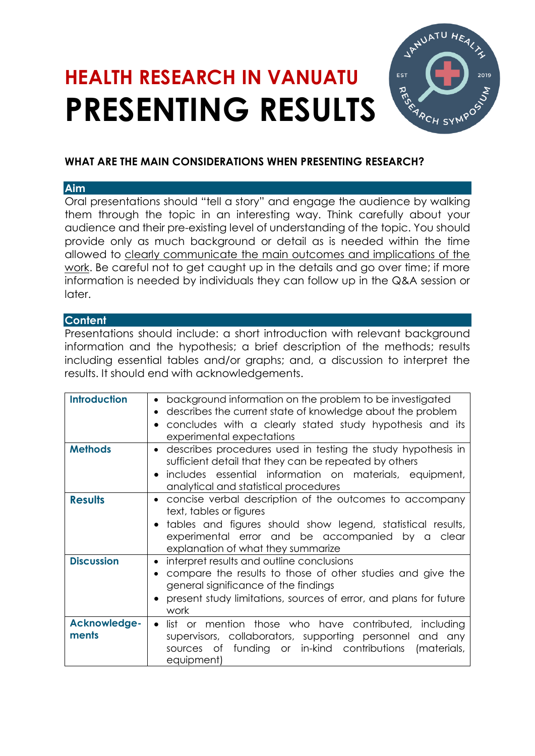# **HEALTH RESEARCH IN VANUATU PRESENTING RESULTS**



# **WHAT ARE THE MAIN CONSIDERATIONS WHEN PRESENTING RESEARCH?**

## **Aim**

Oral presentations should "tell a story" and engage the audience by walking them through the topic in an interesting way. Think carefully about your audience and their pre-existing level of understanding of the topic. You should provide only as much background or detail as is needed within the time allowed to clearly communicate the main outcomes and implications of the work. Be careful not to get caught up in the details and go over time; if more information is needed by individuals they can follow up in the Q&A session or later.

### **Content**

Presentations should include: a short introduction with relevant background information and the hypothesis; a brief description of the methods; results including essential tables and/or graphs; and, a discussion to interpret the results. It should end with acknowledgements.

| <b>Introduction</b> | background information on the problem to be investigated<br>$\bullet$     |
|---------------------|---------------------------------------------------------------------------|
|                     | describes the current state of knowledge about the problem                |
|                     | concludes with a clearly stated study hypothesis and its                  |
|                     | experimental expectations                                                 |
|                     |                                                                           |
| <b>Methods</b>      | describes procedures used in testing the study hypothesis in<br>$\bullet$ |
|                     | sufficient detail that they can be repeated by others                     |
|                     | includes essential information on materials, equipment,                   |
|                     | analytical and statistical procedures                                     |
| <b>Results</b>      | concise verbal description of the outcomes to accompany                   |
|                     | text, tables or figures                                                   |
|                     |                                                                           |
|                     | tables and figures should show legend, statistical results,               |
|                     | experimental error and be accompanied by a clear                          |
|                     | explanation of what they summarize                                        |
| <b>Discussion</b>   | interpret results and outline conclusions<br>$\bullet$                    |
|                     | compare the results to those of other studies and give the<br>$\bullet$   |
|                     | general significance of the findings                                      |
|                     |                                                                           |
|                     | present study limitations, sources of error, and plans for future         |
|                     | work                                                                      |
| Acknowledge-        | list or mention those who have contributed, including<br>$\bullet$        |
| ments               | supervisors, collaborators, supporting personnel and any                  |
|                     | funding or in-kind contributions<br>(materials,<br>sources of             |
|                     | equipment)                                                                |
|                     |                                                                           |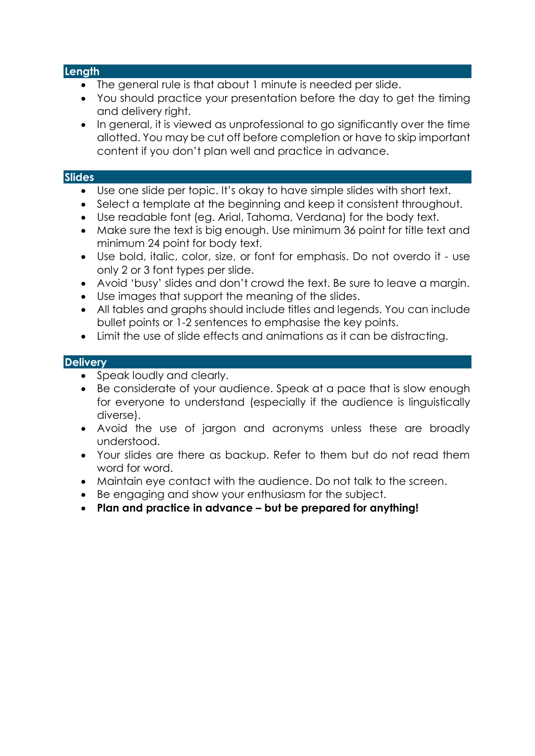#### **Length**

- The general rule is that about 1 minute is needed per slide.
- You should practice your presentation before the day to get the timing and delivery right.
- In general, it is viewed as unprofessional to go significantly over the time allotted. You may be cut off before completion or have to skip important content if you don't plan well and practice in advance.

#### **Slides**

- Use one slide per topic. It's okay to have simple slides with short text.
- Select a template at the beginning and keep it consistent throughout.
- Use readable font (eg. Arial, Tahoma, Verdana) for the body text.
- Make sure the text is big enough. Use minimum 36 point for title text and minimum 24 point for body text.
- Use bold, italic, color, size, or font for emphasis. Do not overdo it use only 2 or 3 font types per slide.
- Avoid 'busy' slides and don't crowd the text. Be sure to leave a margin.
- Use images that support the meaning of the slides.
- All tables and graphs should include titles and legends. You can include bullet points or 1-2 sentences to emphasise the key points.
- Limit the use of slide effects and animations as it can be distracting.

#### **Delivery**

- Speak loudly and clearly.
- Be considerate of your audience. Speak at a pace that is slow enough for everyone to understand (especially if the audience is linguistically diverse).
- Avoid the use of jargon and acronyms unless these are broadly understood.
- Your slides are there as backup. Refer to them but do not read them word for word.
- Maintain eye contact with the audience. Do not talk to the screen.
- Be engaging and show your enthusiasm for the subject.
- **Plan and practice in advance – but be prepared for anything!**